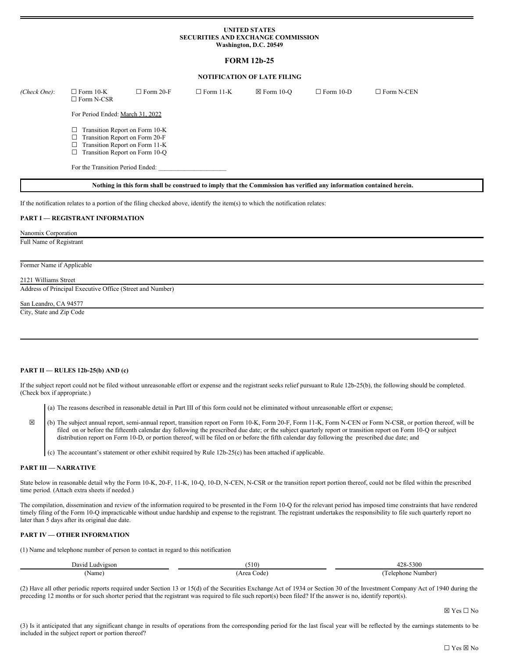#### **UNITED STATES SECURITIES AND EXCHANGE COMMISSION Washington, D.C. 20549**

# **FORM 12b-25**

# **NOTIFICATION OF LATE FILING**

| (Check One):                                                                                                        | $\Box$ Form 10-K<br>$\Box$ Form N-CSR                                                                                                | $\Box$ Form 20-F | $\Box$ Form 11-K | $\boxtimes$ Form 10-O | $\Box$ Form 10-D | $\Box$ Form N-CEN |  |
|---------------------------------------------------------------------------------------------------------------------|--------------------------------------------------------------------------------------------------------------------------------------|------------------|------------------|-----------------------|------------------|-------------------|--|
|                                                                                                                     | For Period Ended: March 31, 2022                                                                                                     |                  |                  |                       |                  |                   |  |
|                                                                                                                     | Transition Report on Form 10-K<br>Transition Report on Form 20-F<br>Transition Report on Form 11-K<br>Transition Report on Form 10-Q |                  |                  |                       |                  |                   |  |
|                                                                                                                     | For the Transition Period Ended:                                                                                                     |                  |                  |                       |                  |                   |  |
| Nothing in this form shall be construed to imply that the Commission has verified any information contained herein. |                                                                                                                                      |                  |                  |                       |                  |                   |  |

If the notification relates to a portion of the filing checked above, identify the item(s) to which the notification relates:

## **PART I — REGISTRANT INFORMATION**

Nanomix Corporation

Full Name of Registrant

## Former Name if Applicable

2121 Williams Street

Address of Principal Executive Office (Street and Number)

San Leandro, CA 94577

City, State and Zip Code

#### **PART II — RULES 12b-25(b) AND (c)**

If the subject report could not be filed without unreasonable effort or expense and the registrant seeks relief pursuant to Rule 12b-25(b), the following should be completed. (Check box if appropriate.)

(a) The reasons described in reasonable detail in Part III of this form could not be eliminated without unreasonable effort or expense;

☒ (b) The subject annual report, semi-annual report, transition report on Form 10-K, Form 20-F, Form 11-K, Form N-CEN or Form N-CSR, or portion thereof, will be filed on or before the fifteenth calendar day following the prescribed due date; or the subject quarterly report or transition report on Form 10-Q or subject distribution report on Form 10-D, or portion thereof, will be filed on or before the fifth calendar day following the prescribed due date; and

(c) The accountant's statement or other exhibit required by Rule 12b-25(c) has been attached if applicable.

# **PART III — NARRATIVE**

State below in reasonable detail why the Form 10-K, 20-F, 11-K, 10-Q, 10-D, N-CEN, N-CSR or the transition report portion thereof, could not be filed within the prescribed time period. (Attach extra sheets if needed.)

The compilation, dissemination and review of the information required to be presented in the Form 10-Q for the relevant period has imposed time constraints that have rendered timely filing of the Form 10-Q impracticable without undue hardship and expense to the registrant. The registrant undertakes the responsibility to file such quarterly report no later than 5 days after its original due date.

#### **PART IV — OTHER INFORMATION**

(1) Name and telephone number of person to contact in regard to this notification

| $\overline{\phantom{a}}$<br>David '<br>Ludvigson | (510)              | 100<br>-5300<br>$L\delta$ - |
|--------------------------------------------------|--------------------|-----------------------------|
| Name,                                            | Area<br>code'<br>. | l'elephone<br>Number<br>.   |

(2) Have all other periodic reports required under Section 13 or 15(d) of the Securities Exchange Act of 1934 or Section 30 of the Investment Company Act of 1940 during the preceding 12 months or for such shorter period that the registrant was required to file such report(s) been filed? If the answer is no, identify report(s).

☒ Yes ☐ No

(3) Is it anticipated that any significant change in results of operations from the corresponding period for the last fiscal year will be reflected by the earnings statements to be included in the subject report or portion thereof?